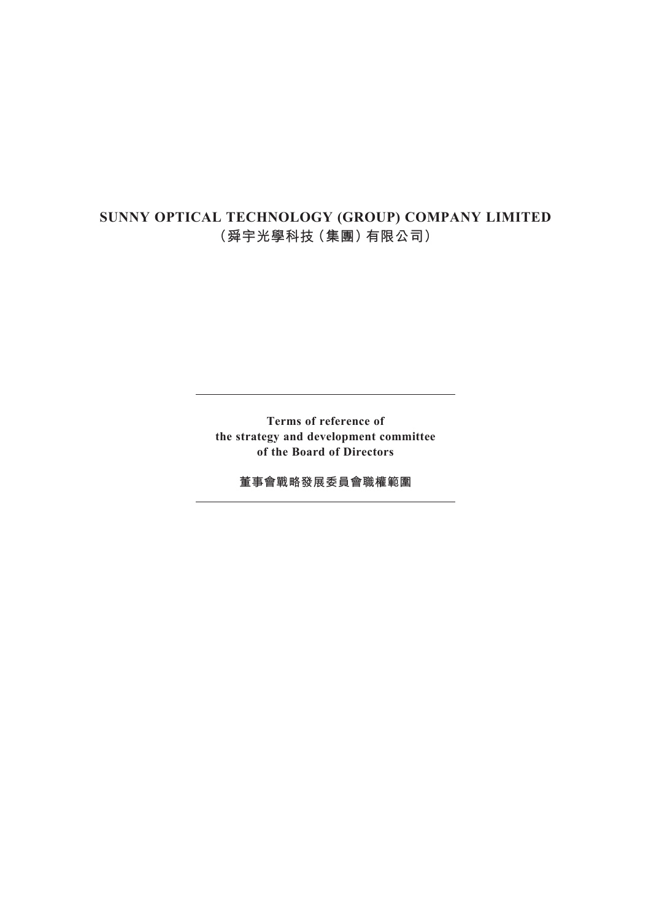# **SUNNY OPTICAL TECHNOLOGY (GROUP) COMPANY LIMITED (舜宇光學科技(集團)有限公司)**

**Terms of reference of the strategy and development committee of the Board of Directors**

**董事會戰略發展委員會職權範圍**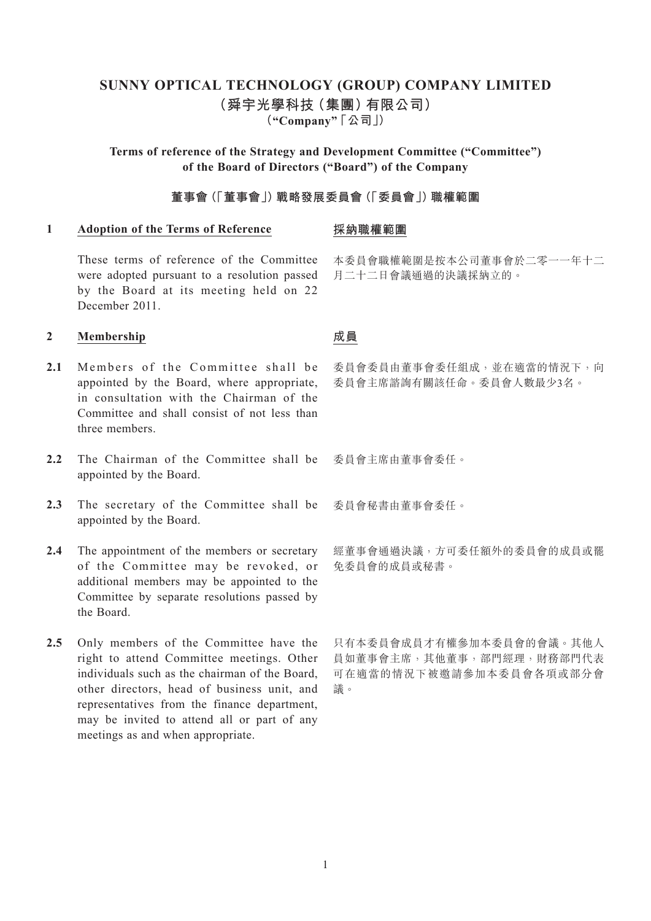# **SUNNY OPTICAL TECHNOLOGY (GROUP) COMPANY LIMITED (舜宇光學科技(集團)有限公司) ("Company" 「公司」)**

**Terms of reference of the Strategy and Development Committee ("Committee") of the Board of Directors ("Board") of the Company**

# **董事會(「董事會」)戰略發展委員會(「委員會」)職權範圍**

### **1 Adoption of the Terms of Reference**

### **採納職權範圍**

These terms of reference of the Committee were adopted pursuant to a resolution passed by the Board at its meeting held on 22 December 2011.

# **2 Membership**

- 2.1 Members of the Committee shall be appointed by the Board, where appropriate, in consultation with the Chairman of the Committee and shall consist of not less than three members.
- 2.2 The Chairman of the Committee shall be appointed by the Board.
- 2.3 The secretary of the Committee shall be appointed by the Board.
- **2.4** The appointment of the members or secretary of the Committee may be revoked, or additional members may be appointed to the Committee by separate resolutions passed by the Board.
- 2.5 Only members of the Committee have the right to attend Committee meetings. Other individuals such as the chairman of the Board, other directors, head of business unit, and representatives from the finance department, may be invited to attend all or part of any meetings as and when appropriate.

# 本委員會職權範圍是按本公司董事會於二零一一年十二 月二十二日會議通過的決議採納立的。

# **成員**

委員會委員由董事會委任組成,並在適當的情況下,向 委員會主席諮詢有關該任命。委員會人數最少3名。

委員會主席由董事會委任。

委員會秘書由董事會委任。

經董事會通過決議,方可委任額外的委員會的成員或罷 免委員會的成員或秘書。

只有本委員會成員才有權參加本委員會的會議。其他人 員如董事會主席,其他董事,部門經理,財務部門代表 可在適當的情況下被邀請參加本委員會各項或部分會 議。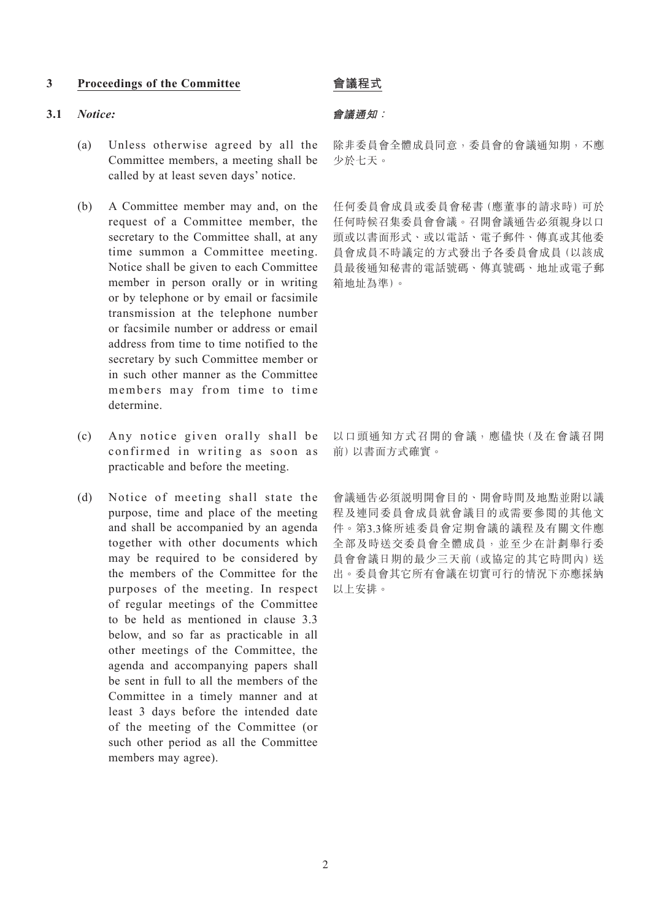### **3 Proceedings of the Committee**

#### **3.1** *Notice:*

- (a) Unless otherwise agreed by all the Committee members, a meeting shall be called by at least seven days' notice.
- (b) A Committee member may and, on the request of a Committee member, the secretary to the Committee shall, at any time summon a Committee meeting. Notice shall be given to each Committee member in person orally or in writing or by telephone or by email or facsimile transmission at the telephone number or facsimile number or address or email address from time to time notified to the secretary by such Committee member or in such other manner as the Committee members may from time to time determine.
- (c) Any notice given orally shall be confirmed in writing as soon as practicable and before the meeting.
- (d) Notice of meeting shall state the purpose, time and place of the meeting and shall be accompanied by an agenda together with other documents which may be required to be considered by the members of the Committee for the purposes of the meeting. In respect of regular meetings of the Committee to be held as mentioned in clause 3.3 below, and so far as practicable in all other meetings of the Committee, the agenda and accompanying papers shall be sent in full to all the members of the Committee in a timely manner and at least 3 days before the intended date of the meeting of the Committee (or such other period as all the Committee members may agree).

# **會議程式**

### **會議通知:**

除非委員會全體成員同意,委員會的會議通知期,不應 少於七天。

任何委員會成員或委員會秘書(應董事的請求時)可於 任何時候召集委員會會議。召開會議通告必須親身以口 頭或以書面形式、或以電話、電子郵件、傳真或其他委 員會成員不時議定的方式發出予各委員會成員(以該成 員最後通知秘書的電話號碼、傳真號碼、地址或電子郵 箱地址為準)。

以口頭通知方式召開的會議,應儘快(及在會議召開 前)以書面方式確實。

會議通告必須說明開會目的、開會時間及地點並附以議 程及連同委員會成員就會議目的或需要參閱的其他文 件。第3.3條所述委員會定期會議的議程及有關文件應 全部及時送交委員會全體成員,並至少在計劃舉行委 員會會議日期的最少三天前(或協定的其它時間內)送 出。委員會其它所有會議在切實可行的情況下亦應採納 以上安排。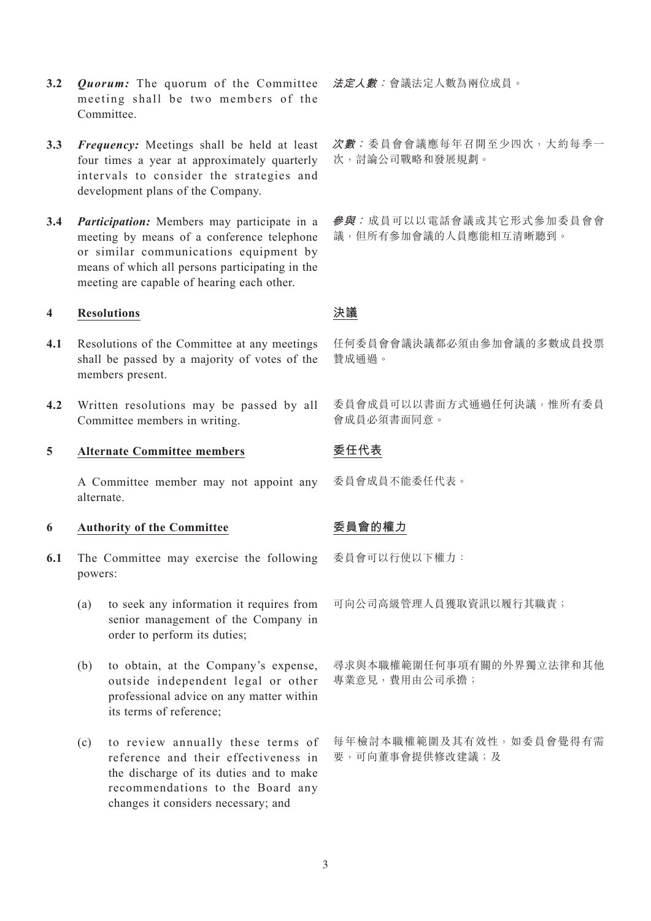- **3.2** *Quorum:* The quorum of the Committee meeting shall be two members of the **Committee**
- **3.3** *Frequency:* Meetings shall be held at least four times a year at approximately quarterly intervals to consider the strategies and development plans of the Company.
- **3.4** *Participation:* Members may participate in a meeting by means of a conference telephone or similar communications equipment by means of which all persons participating in the meeting are capable of hearing each other.

### **4 Resolutions**

- **4.1** Resolutions of the Committee at any meetings shall be passed by a majority of votes of the members present.
- **4.2** Written resolutions may be passed by all Committee members in writing.

### **5 Alternate Committee members**

A Committee member may not appoint any alternate.

### **6 Authority of the Committee**

- **6.1** The Committee may exercise the following powers:
	- (a) to seek any information it requires from senior management of the Company in order to perform its duties;
	- (b) to obtain, at the Company's expense, outside independent legal or other professional advice on any matter within its terms of reference;
	- (c) to review annually these terms of reference and their effectiveness in the discharge of its duties and to make recommendations to the Board any changes it considers necessary; and

**法定人數:**會議法定人數為兩位成員。

**次數:** 委員會會議應每年召開至少四次,大約每季一 次,討論公司戰略和發展規劃。

**參與:** 成員可以以電話會議或其它形式參加委員會會 議,但所有參加會議的人員應能相互清晰聽到。

# **決議**

任何委員會會議決議都必須由參加會議的多數成員投票 贊成通過。

委員會成員可以以書面方式通過任何決議,惟所有委員 會成員必須書面同意。

# **委任代表**

委員會成員不能委任代表。

# **委員會的權力**

委員會可以行使以下權力:

可向公司高級管理人員獲取資訊以履行其職責;

尋求與本職權範圍任何事項有關的外界獨立法律和其他 專業意見,費用由公司承擔;

每年檢討本職權範圍及其有效性,如委員會覺得有需 要,可向董事會提供修改建議;及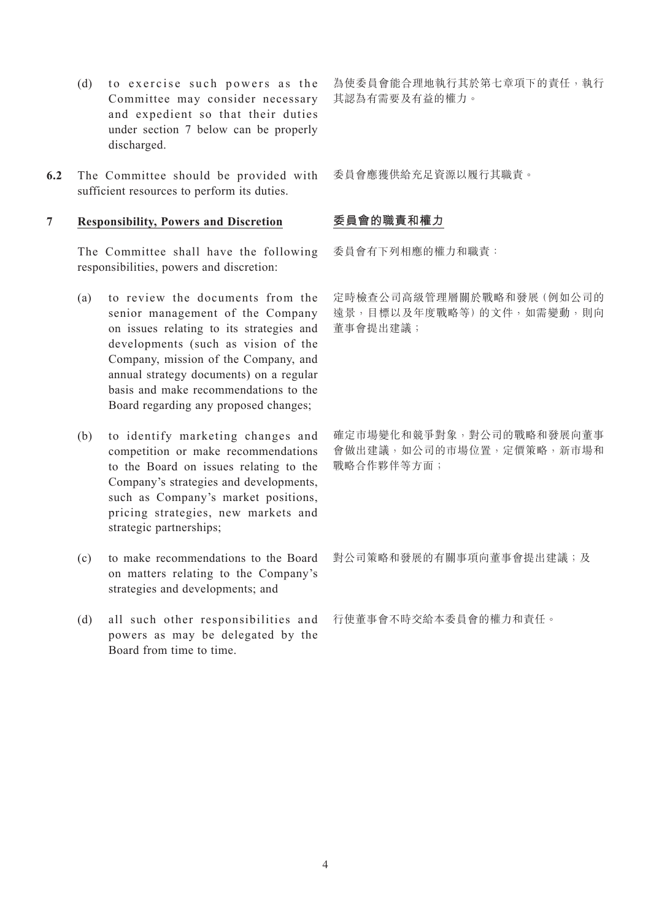- (d) to exercise such powers as the Committee may consider necessary and expedient so that their duties under section 7 below can be properly discharged.
- **6.2** The Committee should be provided with sufficient resources to perform its duties.

# **7 Responsibility, Powers and Discretion**

The Committee shall have the following responsibilities, powers and discretion:

- (a) to review the documents from the senior management of the Company on issues relating to its strategies and developments (such as vision of the Company, mission of the Company, and annual strategy documents) on a regular basis and make recommendations to the Board regarding any proposed changes;
- (b) to identify marketing changes and competition or make recommendations to the Board on issues relating to the Company's strategies and developments, such as Company's market positions, pricing strategies, new markets and strategic partnerships;
- (c) to make recommendations to the Board on matters relating to the Company's strategies and developments; and
- (d) all such other responsibilities and powers as may be delegated by the Board from time to time.

為使委員會能合理地執行其於第七章項下的責任,執行 其認為有需要及有益的權力。

委員會應獲供給充足資源以履行其職責。

# **委員會的職責和權力**

委員會有下列相應的權力和職責:

定時檢查公司高級管理層關於戰略和發展(例如公司的 遠景,目標以及年度戰略等)的文件,如需變動,則向 董事會提出建議;

確定市場變化和競爭對象,對公司的戰略和發展向董事 會做出建議,如公司的市場位置,定價策略,新市場和 戰略合作夥伴等方面;

對公司策略和發展的有關事項向董事會提出建議;及

行使董事會不時交給本委員會的權力和責任。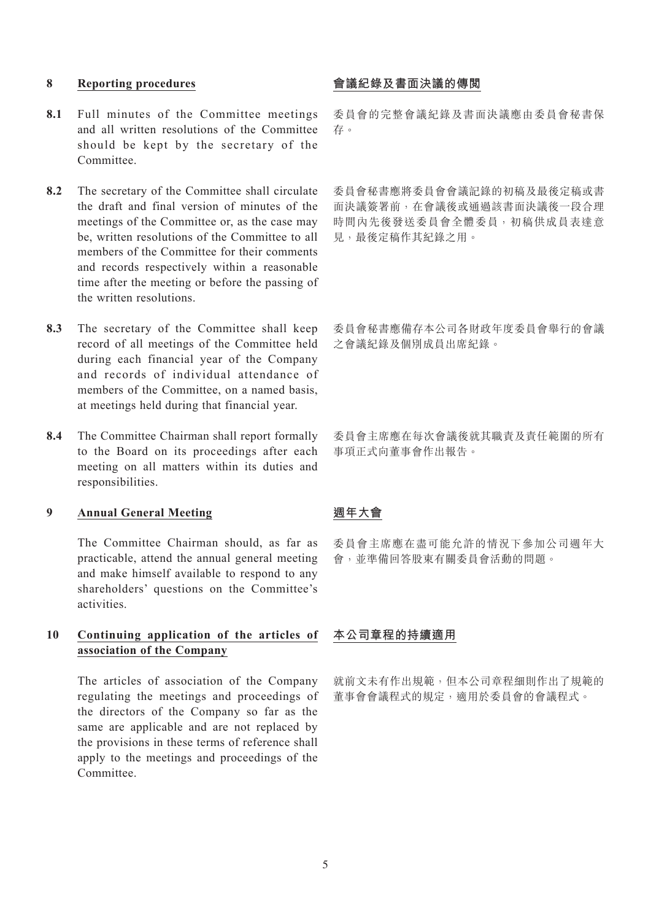### **8 Reporting procedures**

- **8.1** Full minutes of the Committee meetings and all written resolutions of the Committee should be kept by the secretary of the Committee.
- **8.2** The secretary of the Committee shall circulate the draft and final version of minutes of the meetings of the Committee or, as the case may be, written resolutions of the Committee to all members of the Committee for their comments and records respectively within a reasonable time after the meeting or before the passing of the written resolutions.
- **8.3** The secretary of the Committee shall keep record of all meetings of the Committee held during each financial year of the Company and records of individual attendance of members of the Committee, on a named basis, at meetings held during that financial year.
- **8.4** The Committee Chairman shall report formally to the Board on its proceedings after each meeting on all matters within its duties and responsibilities.

# **9 Annual General Meeting**

The Committee Chairman should, as far as practicable, attend the annual general meeting and make himself available to respond to any shareholders' questions on the Committee's activities.

## **10 Continuing application of the articles of association of the Company**

The articles of association of the Company regulating the meetings and proceedings of the directors of the Company so far as the same are applicable and are not replaced by the provisions in these terms of reference shall apply to the meetings and proceedings of the Committee.

# **會議紀錄及書面決議的傳閱**

委員會的完整會議紀錄及書面決議應由委員會秘書保 存。

委員會秘書應將委員會會議記錄的初稿及最後定稿或書 面決議簽署前,在會議後或通過該書面決議後一段合理 時間內先後發送委員會全體委員,初稿供成員表達意 見,最後定稿作其紀錄之用。

委員會秘書應備存本公司各財政年度委員會舉行的會議 之會議紀錄及個別成員出席紀錄。

委員會主席應在每次會議後就其職責及責任範圍的所有 事項正式向董事會作出報告。

### **週年大會**

委員會主席應在盡可能允許的情況下參加公司週年大 會,並準備回答股東有關委員會活動的問題。

#### **本公司章程的持續適用**

就前文未有作出規範,但本公司章程細則作出了規範的 董事會會議程式的規定,適用於委員會的會議程式。